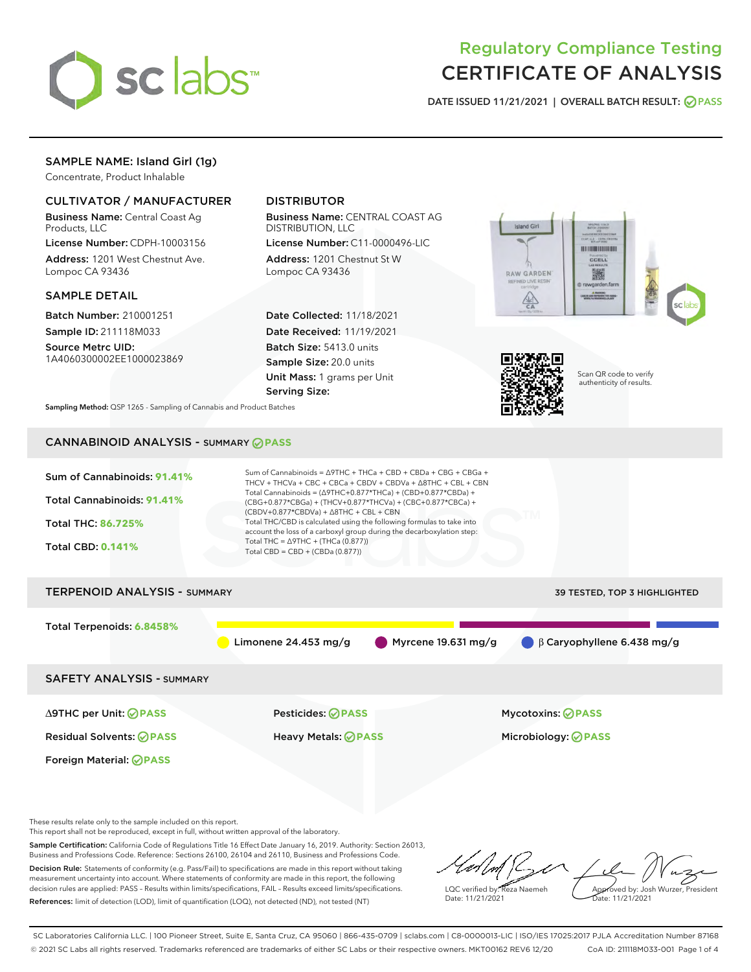

# Regulatory Compliance Testing CERTIFICATE OF ANALYSIS

DATE ISSUED 11/21/2021 | OVERALL BATCH RESULT: @ PASS

# SAMPLE NAME: Island Girl (1g)

Concentrate, Product Inhalable

# CULTIVATOR / MANUFACTURER

Business Name: Central Coast Ag Products, LLC

License Number: CDPH-10003156 Address: 1201 West Chestnut Ave. Lompoc CA 93436

## SAMPLE DETAIL

Batch Number: 210001251 Sample ID: 211118M033

Source Metrc UID: 1A4060300002EE1000023869

# DISTRIBUTOR

Business Name: CENTRAL COAST AG DISTRIBUTION, LLC

License Number: C11-0000496-LIC Address: 1201 Chestnut St W Lompoc CA 93436

Date Collected: 11/18/2021 Date Received: 11/19/2021 Batch Size: 5413.0 units Sample Size: 20.0 units Unit Mass: 1 grams per Unit Serving Size:





Scan QR code to verify authenticity of results.

Sampling Method: QSP 1265 - Sampling of Cannabis and Product Batches

# CANNABINOID ANALYSIS - SUMMARY **PASS**



This report shall not be reproduced, except in full, without written approval of the laboratory.

Sample Certification: California Code of Regulations Title 16 Effect Date January 16, 2019. Authority: Section 26013, Business and Professions Code. Reference: Sections 26100, 26104 and 26110, Business and Professions Code. Decision Rule: Statements of conformity (e.g. Pass/Fail) to specifications are made in this report without taking measurement uncertainty into account. Where statements of conformity are made in this report, the following

decision rules are applied: PASS – Results within limits/specifications, FAIL – Results exceed limits/specifications. References: limit of detection (LOD), limit of quantification (LOQ), not detected (ND), not tested (NT)

LQC verified by: Reza Naemeh Date: 11/21/2021 Approved by: Josh Wurzer, President Date: 11/21/2021

SC Laboratories California LLC. | 100 Pioneer Street, Suite E, Santa Cruz, CA 95060 | 866-435-0709 | sclabs.com | C8-0000013-LIC | ISO/IES 17025:2017 PJLA Accreditation Number 87168 © 2021 SC Labs all rights reserved. Trademarks referenced are trademarks of either SC Labs or their respective owners. MKT00162 REV6 12/20 CoA ID: 211118M033-001 Page 1 of 4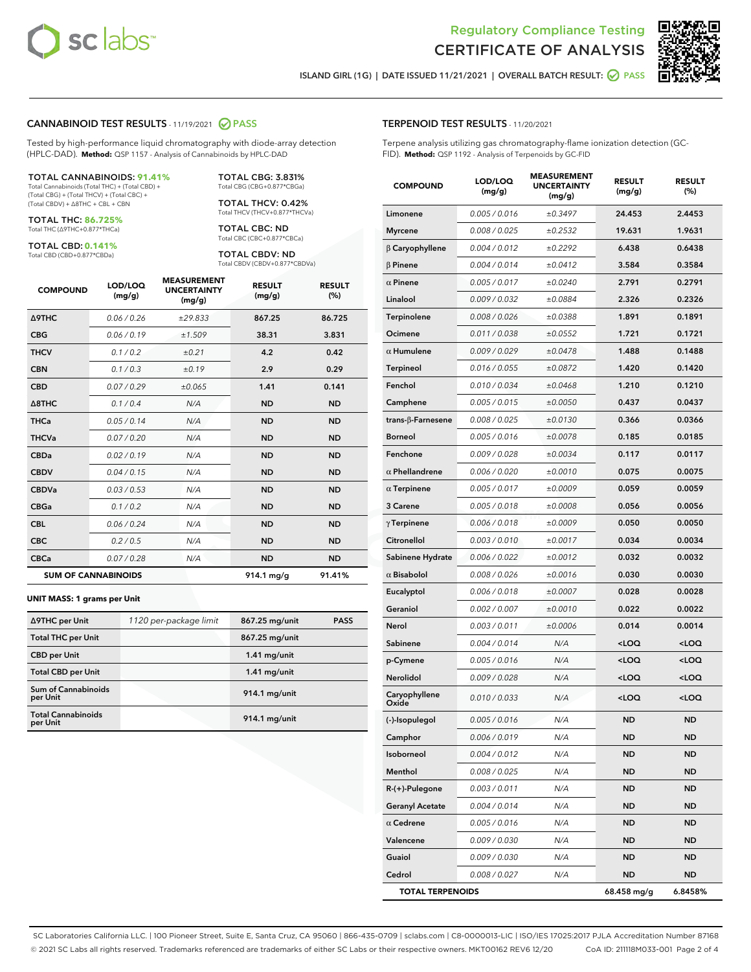

Terpene analysis utilizing gas chromatography-flame ionization detection (GC-

MEACUREMENT



ISLAND GIRL (1G) | DATE ISSUED 11/21/2021 | OVERALL BATCH RESULT: ◯ PASS

TERPENOID TEST RESULTS - 11/20/2021

FID). **Method:** QSP 1192 - Analysis of Terpenoids by GC-FID

## CANNABINOID TEST RESULTS - 11/19/2021 2 PASS

Tested by high-performance liquid chromatography with diode-array detection (HPLC-DAD). **Method:** QSP 1157 - Analysis of Cannabinoids by HPLC-DAD

#### TOTAL CANNABINOIDS: **91.41%**

Total Cannabinoids (Total THC) + (Total CBD) + (Total CBG) + (Total THCV) + (Total CBC) + (Total CBDV) + ∆8THC + CBL + CBN

TOTAL THC: **86.725%** Total THC (∆9THC+0.877\*THCa)

TOTAL CBD: **0.141%**

Total CBD (CBD+0.877\*CBDa)

TOTAL CBG: 3.831% Total CBG (CBG+0.877\*CBGa)

TOTAL THCV: 0.42% Total THCV (THCV+0.877\*THCVa)

TOTAL CBC: ND Total CBC (CBC+0.877\*CBCa)

TOTAL CBDV: ND Total CBDV (CBDV+0.877\*CBDVa)

| <b>COMPOUND</b>  | LOD/LOQ<br>(mg/g)          | <b>MEASUREMENT</b><br><b>UNCERTAINTY</b><br>(mg/g) | <b>RESULT</b><br>(mg/g) | <b>RESULT</b><br>(%) |
|------------------|----------------------------|----------------------------------------------------|-------------------------|----------------------|
| <b>A9THC</b>     | 0.06/0.26                  | ±29.833                                            | 867.25                  | 86.725               |
| <b>CBG</b>       | 0.06/0.19                  | ±1.509                                             | 38.31                   | 3.831                |
| <b>THCV</b>      | 0.1/0.2                    | ±0.21                                              | 4.2                     | 0.42                 |
| <b>CBN</b>       | 0.1/0.3                    | ±0.19                                              | 2.9                     | 0.29                 |
| <b>CBD</b>       | 0.07/0.29                  | ±0.065                                             | 1.41                    | 0.141                |
| $\triangle$ 8THC | 0.1/0.4                    | N/A                                                | <b>ND</b>               | <b>ND</b>            |
| <b>THCa</b>      | 0.05/0.14                  | N/A                                                | <b>ND</b>               | <b>ND</b>            |
| <b>THCVa</b>     | 0.07/0.20                  | N/A                                                | <b>ND</b>               | <b>ND</b>            |
| <b>CBDa</b>      | 0.02/0.19                  | N/A                                                | <b>ND</b>               | <b>ND</b>            |
| <b>CBDV</b>      | 0.04/0.15                  | N/A                                                | <b>ND</b>               | <b>ND</b>            |
| <b>CBDVa</b>     | 0.03/0.53                  | N/A                                                | <b>ND</b>               | <b>ND</b>            |
| <b>CBGa</b>      | 0.1/0.2                    | N/A                                                | <b>ND</b>               | <b>ND</b>            |
| <b>CBL</b>       | 0.06 / 0.24                | N/A                                                | <b>ND</b>               | <b>ND</b>            |
| <b>CBC</b>       | 0.2 / 0.5                  | N/A                                                | <b>ND</b>               | <b>ND</b>            |
| <b>CBCa</b>      | 0.07 / 0.28                | N/A                                                | <b>ND</b>               | <b>ND</b>            |
|                  | <b>SUM OF CANNABINOIDS</b> |                                                    | $914.1 \,\mathrm{mg/g}$ | 91.41%               |

#### **UNIT MASS: 1 grams per Unit**

| ∆9THC per Unit                         | 1120 per-package limit | 867.25 mg/unit  | <b>PASS</b> |
|----------------------------------------|------------------------|-----------------|-------------|
| <b>Total THC per Unit</b>              |                        | 867.25 mg/unit  |             |
| <b>CBD</b> per Unit                    |                        | $1.41$ mg/unit  |             |
| <b>Total CBD per Unit</b>              |                        | $1.41$ mg/unit  |             |
| <b>Sum of Cannabinoids</b><br>per Unit |                        | 914.1 mg/unit   |             |
| <b>Total Cannabinoids</b><br>per Unit  |                        | $914.1$ mg/unit |             |

| <b>COMPOUND</b>           | LOD/LOQ<br>(mg/g) | wurlw<br><b>UNCERTAINTY</b><br>(mq/q) | <b>RESULT</b><br>(mg/g)                          | <b>RESULT</b><br>(%) |
|---------------------------|-------------------|---------------------------------------|--------------------------------------------------|----------------------|
| Limonene                  | 0.005 / 0.016     | ±0.3497                               | 24.453                                           | 2.4453               |
| <b>Myrcene</b>            | 0.008 / 0.025     | ±0.2532                               | 19.631                                           | 1.9631               |
| <b>B</b> Caryophyllene    | 0.004 / 0.012     | ±0.2292                               | 6.438                                            | 0.6438               |
| $\beta$ Pinene            | 0.004 / 0.014     | ±0.0412                               | 3.584                                            | 0.3584               |
| $\alpha$ Pinene           | 0.005 / 0.017     | ±0.0240                               | 2.791                                            | 0.2791               |
| Linalool                  | 0.009/0.032       | ±0.0884                               | 2.326                                            | 0.2326               |
| <b>Terpinolene</b>        | 0.008 / 0.026     | ±0.0388                               | 1.891                                            | 0.1891               |
| Ocimene                   | 0.011 / 0.038     | ±0.0552                               | 1.721                                            | 0.1721               |
| $\alpha$ Humulene         | 0.009/0.029       | ±0.0478                               | 1.488                                            | 0.1488               |
| Terpineol                 | 0.016 / 0.055     | ±0.0872                               | 1.420                                            | 0.1420               |
| Fenchol                   | 0.010 / 0.034     | ±0.0468                               | 1.210                                            | 0.1210               |
| Camphene                  | 0.005 / 0.015     | ±0.0050                               | 0.437                                            | 0.0437               |
| trans- $\beta$ -Farnesene | 0.008 / 0.025     | ±0.0130                               | 0.366                                            | 0.0366               |
| <b>Borneol</b>            | 0.005 / 0.016     | ±0.0078                               | 0.185                                            | 0.0185               |
| Fenchone                  | 0.009 / 0.028     | ±0.0034                               | 0.117                                            | 0.0117               |
| $\alpha$ Phellandrene     | 0.006 / 0.020     | ±0.0010                               | 0.075                                            | 0.0075               |
| $\alpha$ Terpinene        | 0.005 / 0.017     | ±0.0009                               | 0.059                                            | 0.0059               |
| 3 Carene                  | 0.005 / 0.018     | ±0.0008                               | 0.056                                            | 0.0056               |
| $\gamma$ Terpinene        | 0.006 / 0.018     | ±0.0009                               | 0.050                                            | 0.0050               |
| Citronellol               | 0.003 / 0.010     | ±0.0017                               | 0.034                                            | 0.0034               |
| Sabinene Hydrate          | 0.006 / 0.022     | ±0.0012                               | 0.032                                            | 0.0032               |
| $\alpha$ Bisabolol        | 0.008 / 0.026     | ±0.0016                               | 0.030                                            | 0.0030               |
| Eucalyptol                | 0.006 / 0.018     | ±0.0007                               | 0.028                                            | 0.0028               |
| Geraniol                  | 0.002 / 0.007     | ±0.0010                               | 0.022                                            | 0.0022               |
| Nerol                     | 0.003 / 0.011     | ±0.0006                               | 0.014                                            | 0.0014               |
| Sabinene                  | 0.004 / 0.014     | N/A                                   | <loq< th=""><th><loq< th=""></loq<></th></loq<>  | <loq< th=""></loq<>  |
| p-Cymene                  | 0.005 / 0.016     | N/A                                   | <loq< th=""><th><loq< th=""></loq<></th></loq<>  | <loq< th=""></loq<>  |
| Nerolidol                 | 0.009 / 0.028     | N/A                                   | <loq< th=""><th><math>&lt;</math>LOQ</th></loq<> | $<$ LOQ              |
| Caryophyllene<br>Oxide    | 0.010 / 0.033     | N/A                                   | <loq< th=""><th><loq< th=""></loq<></th></loq<>  | <loq< th=""></loq<>  |
| (-)-Isopulegol            | 0.005 / 0.016     | N/A                                   | <b>ND</b>                                        | <b>ND</b>            |
| Camphor                   | 0.006 / 0.019     | N/A                                   | ND                                               | <b>ND</b>            |
| Isoborneol                | 0.004 / 0.012     | N/A                                   | ND                                               | ND                   |
| Menthol                   | 0.008 / 0.025     | N/A                                   | <b>ND</b>                                        | ND                   |
| R-(+)-Pulegone            | 0.003 / 0.011     | N/A                                   | ND                                               | ND                   |
| <b>Geranyl Acetate</b>    | 0.004 / 0.014     | N/A                                   | ND                                               | ND                   |
| $\alpha$ Cedrene          | 0.005 / 0.016     | N/A                                   | ND                                               | ND                   |
| Valencene                 | 0.009 / 0.030     | N/A                                   | ND                                               | ND                   |
| Guaiol                    | 0.009 / 0.030     | N/A                                   | <b>ND</b>                                        | ND                   |
| Cedrol                    | 0.008 / 0.027     | N/A                                   | ND                                               | ND                   |
| <b>TOTAL TERPENOIDS</b>   |                   |                                       | 68.458 mg/g                                      | 6.8458%              |

SC Laboratories California LLC. | 100 Pioneer Street, Suite E, Santa Cruz, CA 95060 | 866-435-0709 | sclabs.com | C8-0000013-LIC | ISO/IES 17025:2017 PJLA Accreditation Number 87168 © 2021 SC Labs all rights reserved. Trademarks referenced are trademarks of either SC Labs or their respective owners. MKT00162 REV6 12/20 CoA ID: 211118M033-001 Page 2 of 4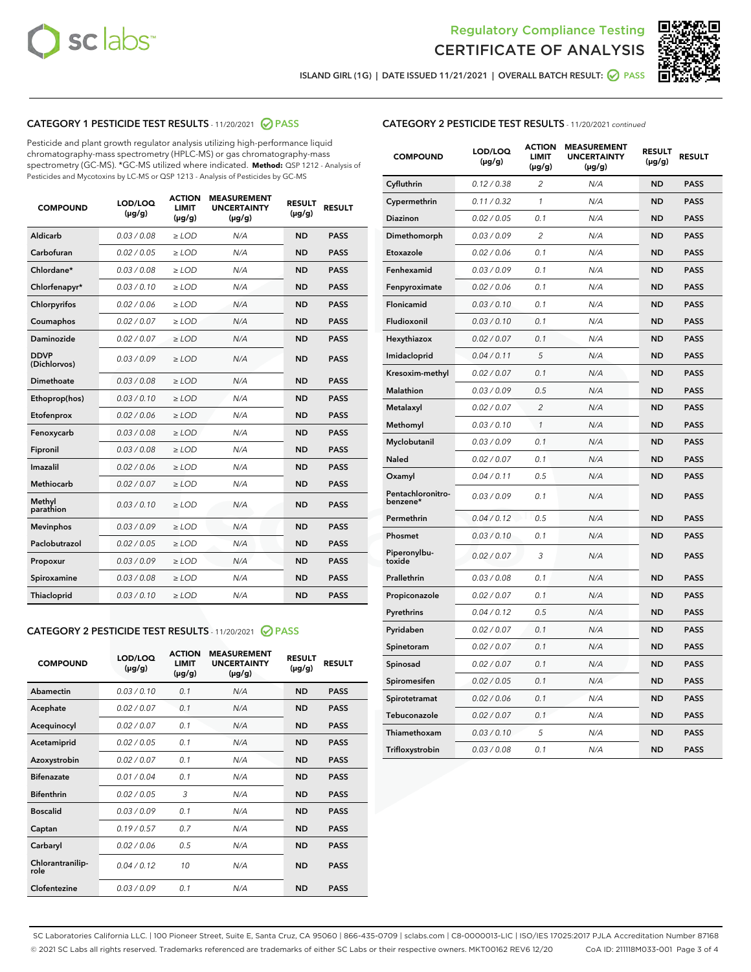



ISLAND GIRL (1G) | DATE ISSUED 11/21/2021 | OVERALL BATCH RESULT:  $\bigcirc$  PASS

# CATEGORY 1 PESTICIDE TEST RESULTS - 11/20/2021 2 PASS

Pesticide and plant growth regulator analysis utilizing high-performance liquid chromatography-mass spectrometry (HPLC-MS) or gas chromatography-mass spectrometry (GC-MS). \*GC-MS utilized where indicated. **Method:** QSP 1212 - Analysis of Pesticides and Mycotoxins by LC-MS or QSP 1213 - Analysis of Pesticides by GC-MS

| <b>COMPOUND</b>             | LOD/LOQ<br>$(\mu g/g)$ | <b>ACTION</b><br><b>LIMIT</b><br>$(\mu g/g)$ | <b>MEASUREMENT</b><br><b>UNCERTAINTY</b><br>$(\mu g/g)$ | <b>RESULT</b><br>$(\mu g/g)$ | <b>RESULT</b> |
|-----------------------------|------------------------|----------------------------------------------|---------------------------------------------------------|------------------------------|---------------|
| Aldicarb                    | 0.03/0.08              | $>$ LOD                                      | N/A                                                     | <b>ND</b>                    | <b>PASS</b>   |
| Carbofuran                  | 0.02 / 0.05            | $\ge$ LOD                                    | N/A                                                     | <b>ND</b>                    | <b>PASS</b>   |
| Chlordane*                  | 0.03/0.08              | $>$ LOD                                      | N/A                                                     | <b>ND</b>                    | <b>PASS</b>   |
| Chlorfenapyr*               | 0.03 / 0.10            | $\ge$ LOD                                    | N/A                                                     | <b>ND</b>                    | <b>PASS</b>   |
| Chlorpyrifos                | 0.02 / 0.06            | $\ge$ LOD                                    | N/A                                                     | <b>ND</b>                    | <b>PASS</b>   |
| Coumaphos                   | 0.02 / 0.07            | $\ge$ LOD                                    | N/A                                                     | <b>ND</b>                    | <b>PASS</b>   |
| Daminozide                  | 0.02 / 0.07            | $\ge$ LOD                                    | N/A                                                     | <b>ND</b>                    | <b>PASS</b>   |
| <b>DDVP</b><br>(Dichlorvos) | 0.03/0.09              | $\ge$ LOD                                    | N/A                                                     | <b>ND</b>                    | <b>PASS</b>   |
| <b>Dimethoate</b>           | 0.03/0.08              | $\ge$ LOD                                    | N/A                                                     | <b>ND</b>                    | <b>PASS</b>   |
| Ethoprop(hos)               | 0.03/0.10              | $\ge$ LOD                                    | N/A                                                     | <b>ND</b>                    | <b>PASS</b>   |
| Etofenprox                  | 0.02 / 0.06            | $\ge$ LOD                                    | N/A                                                     | <b>ND</b>                    | <b>PASS</b>   |
| Fenoxycarb                  | 0.03 / 0.08            | $\ge$ LOD                                    | N/A                                                     | <b>ND</b>                    | <b>PASS</b>   |
| Fipronil                    | 0.03/0.08              | $>$ LOD                                      | N/A                                                     | <b>ND</b>                    | <b>PASS</b>   |
| Imazalil                    | 0.02 / 0.06            | $\ge$ LOD                                    | N/A                                                     | <b>ND</b>                    | <b>PASS</b>   |
| Methiocarb                  | 0.02 / 0.07            | $\ge$ LOD                                    | N/A                                                     | <b>ND</b>                    | <b>PASS</b>   |
| Methyl<br>parathion         | 0.03/0.10              | $\ge$ LOD                                    | N/A                                                     | <b>ND</b>                    | <b>PASS</b>   |
| <b>Mevinphos</b>            | 0.03/0.09              | $\ge$ LOD                                    | N/A                                                     | <b>ND</b>                    | <b>PASS</b>   |
| Paclobutrazol               | 0.02 / 0.05            | $>$ LOD                                      | N/A                                                     | <b>ND</b>                    | <b>PASS</b>   |
| Propoxur                    | 0.03/0.09              | $\ge$ LOD                                    | N/A                                                     | <b>ND</b>                    | <b>PASS</b>   |
| Spiroxamine                 | 0.03 / 0.08            | $\ge$ LOD                                    | N/A                                                     | <b>ND</b>                    | <b>PASS</b>   |
| Thiacloprid                 | 0.03/0.10              | $\ge$ LOD                                    | N/A                                                     | <b>ND</b>                    | <b>PASS</b>   |
|                             |                        |                                              |                                                         |                              |               |

#### CATEGORY 2 PESTICIDE TEST RESULTS - 11/20/2021 @ PASS

| <b>COMPOUND</b>          | LOD/LOO<br>$(\mu g/g)$ | <b>ACTION</b><br>LIMIT<br>$(\mu g/g)$ | <b>MEASUREMENT</b><br><b>UNCERTAINTY</b><br>$(\mu g/g)$ | <b>RESULT</b><br>$(\mu g/g)$ | <b>RESULT</b> |  |
|--------------------------|------------------------|---------------------------------------|---------------------------------------------------------|------------------------------|---------------|--|
| Abamectin                | 0.03/0.10              | 0.1                                   | N/A                                                     | <b>ND</b>                    | <b>PASS</b>   |  |
| Acephate                 | 0.02/0.07              | 0.1                                   | N/A                                                     | <b>ND</b>                    | <b>PASS</b>   |  |
| Acequinocyl              | 0.02/0.07              | 0.1                                   | N/A                                                     | <b>ND</b>                    | <b>PASS</b>   |  |
| Acetamiprid              | 0.02/0.05              | 0.1                                   | N/A                                                     | <b>ND</b>                    | <b>PASS</b>   |  |
| Azoxystrobin             | 0.02/0.07              | 0.1                                   | N/A                                                     | <b>ND</b>                    | <b>PASS</b>   |  |
| <b>Bifenazate</b>        | 0.01 / 0.04            | 0.1                                   | N/A                                                     | <b>ND</b>                    | <b>PASS</b>   |  |
| <b>Bifenthrin</b>        | 0.02/0.05              | 3                                     | N/A                                                     | <b>ND</b>                    | <b>PASS</b>   |  |
| <b>Boscalid</b>          | 0.03/0.09              | 0.1                                   | N/A                                                     | <b>ND</b>                    | <b>PASS</b>   |  |
| Captan                   | 0.19/0.57              | 0.7                                   | N/A                                                     | <b>ND</b>                    | <b>PASS</b>   |  |
| Carbaryl                 | 0.02/0.06              | 0.5                                   | N/A                                                     | <b>ND</b>                    | <b>PASS</b>   |  |
| Chlorantranilip-<br>role | 0.04/0.12              | 10                                    | N/A                                                     | <b>ND</b>                    | <b>PASS</b>   |  |
| Clofentezine             | 0.03/0.09              | 0.1                                   | N/A                                                     | <b>ND</b>                    | <b>PASS</b>   |  |

| <b>COMPOUND</b>               | LOD/LOQ<br>(µg/g) | <b>ACTION</b><br>LIMIT<br>(µg/g) | <b>MEASUREMENT</b><br><b>UNCERTAINTY</b><br>$(\mu g/g)$ | <b>RESULT</b><br>(µg/g) | <b>RESULT</b> |
|-------------------------------|-------------------|----------------------------------|---------------------------------------------------------|-------------------------|---------------|
| Cyfluthrin                    | 0.12 / 0.38       | $\overline{c}$                   | N/A                                                     | ND                      | <b>PASS</b>   |
| Cypermethrin                  | 0.11/0.32         | 1                                | N/A                                                     | ND                      | <b>PASS</b>   |
| Diazinon                      | 0.02 / 0.05       | 0.1                              | N/A                                                     | ND                      | <b>PASS</b>   |
| Dimethomorph                  | 0.03 / 0.09       | 2                                | N/A                                                     | <b>ND</b>               | <b>PASS</b>   |
| Etoxazole                     | 0.02 / 0.06       | 0.1                              | N/A                                                     | ND                      | <b>PASS</b>   |
| Fenhexamid                    | 0.03 / 0.09       | 0.1                              | N/A                                                     | <b>ND</b>               | <b>PASS</b>   |
| Fenpyroximate                 | 0.02 / 0.06       | 0.1                              | N/A                                                     | <b>ND</b>               | <b>PASS</b>   |
| Flonicamid                    | 0.03 / 0.10       | 0.1                              | N/A                                                     | <b>ND</b>               | <b>PASS</b>   |
| Fludioxonil                   | 0.03 / 0.10       | 0.1                              | N/A                                                     | ND                      | <b>PASS</b>   |
| Hexythiazox                   | 0.02 / 0.07       | 0.1                              | N/A                                                     | <b>ND</b>               | <b>PASS</b>   |
| Imidacloprid                  | 0.04 / 0.11       | 5                                | N/A                                                     | ND                      | <b>PASS</b>   |
| Kresoxim-methyl               | 0.02 / 0.07       | 0.1                              | N/A                                                     | ND                      | <b>PASS</b>   |
| <b>Malathion</b>              | 0.03 / 0.09       | 0.5                              | N/A                                                     | <b>ND</b>               | <b>PASS</b>   |
| Metalaxyl                     | 0.02 / 0.07       | $\overline{\mathcal{L}}$         | N/A                                                     | <b>ND</b>               | <b>PASS</b>   |
| Methomyl                      | 0.03 / 0.10       | $\mathcal{I}$                    | N/A                                                     | <b>ND</b>               | <b>PASS</b>   |
| Myclobutanil                  | 0.03 / 0.09       | 0.1                              | N/A                                                     | <b>ND</b>               | <b>PASS</b>   |
| Naled                         | 0.02 / 0.07       | 0.1                              | N/A                                                     | <b>ND</b>               | <b>PASS</b>   |
| Oxamyl                        | 0.04 / 0.11       | 0.5                              | N/A                                                     | <b>ND</b>               | <b>PASS</b>   |
| Pentachloronitro-<br>benzene* | 0.03 / 0.09       | 0.1                              | N/A                                                     | <b>ND</b>               | <b>PASS</b>   |
| Permethrin                    | 0.04/0.12         | 0.5                              | N/A                                                     | ND                      | <b>PASS</b>   |
| Phosmet                       | 0.03 / 0.10       | 0.1                              | N/A                                                     | ND                      | <b>PASS</b>   |
| Piperonylbu-<br>toxide        | 0.02 / 0.07       | 3                                | N/A                                                     | <b>ND</b>               | <b>PASS</b>   |
| Prallethrin                   | 0.03 / 0.08       | 0.1                              | N/A                                                     | ND                      | <b>PASS</b>   |
| Propiconazole                 | 0.02 / 0.07       | 0.1                              | N/A                                                     | <b>ND</b>               | <b>PASS</b>   |
| Pyrethrins                    | 0.04 / 0.12       | 0.5                              | N/A                                                     | ND                      | <b>PASS</b>   |
| Pyridaben                     | 0.02 / 0.07       | 0.1                              | N/A                                                     | ND                      | <b>PASS</b>   |
| Spinetoram                    | 0.02 / 0.07       | 0.1                              | N/A                                                     | ND                      | <b>PASS</b>   |
| Spinosad                      | 0.02 / 0.07       | 0.1                              | N/A                                                     | <b>ND</b>               | <b>PASS</b>   |
| Spiromesifen                  | 0.02 / 0.05       | 0.1                              | N/A                                                     | ND                      | <b>PASS</b>   |
| Spirotetramat                 | 0.02 / 0.06       | 0.1                              | N/A                                                     | ND                      | <b>PASS</b>   |
| Tebuconazole                  | 0.02 / 0.07       | 0.1                              | N/A                                                     | ND                      | <b>PASS</b>   |
| Thiamethoxam                  | 0.03 / 0.10       | 5                                | N/A                                                     | ND                      | <b>PASS</b>   |
| Trifloxystrobin               | 0.03 / 0.08       | 0.1                              | N/A                                                     | ND                      | <b>PASS</b>   |

SC Laboratories California LLC. | 100 Pioneer Street, Suite E, Santa Cruz, CA 95060 | 866-435-0709 | sclabs.com | C8-0000013-LIC | ISO/IES 17025:2017 PJLA Accreditation Number 87168 © 2021 SC Labs all rights reserved. Trademarks referenced are trademarks of either SC Labs or their respective owners. MKT00162 REV6 12/20 CoA ID: 211118M033-001 Page 3 of 4